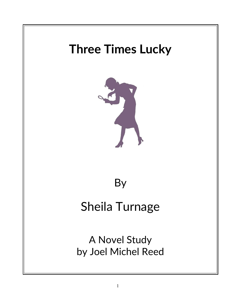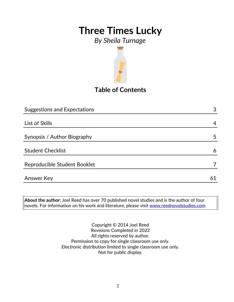### *By Sheila Turnage*



### **Table of Contents**

| <b>Suggestions and Expectations</b> | 3  |
|-------------------------------------|----|
|                                     |    |
| List of Skills                      | 4  |
|                                     |    |
| Synopsis / Author Biography         | 5  |
|                                     |    |
| <b>Student Checklist</b>            | 6  |
| Reproducible Student Booklet        |    |
|                                     |    |
| <b>Answer Key</b>                   | 61 |
|                                     |    |

**About the author:** Joel Reed has over 70 published novel studies and is the author of four novels. For information on his work and literature, please visit [www.reednovelstudies.com](http://www.reednovelstudies.com/)

> Copyright © 2014 Joel Reed Revisions Completed in 2022 All rights reserved by author. Permission to copy for single classroom use only. Electronic distribution limited to single classroom use only. Not for public display.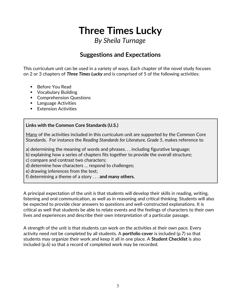### *By Sheila Turnage*

### **Suggestions and Expectations**

This curriculum unit can be used in a variety of ways. Each chapter of the novel study focuses on 2 or 3 chapters of *Three Times Lucky* and is comprised of 5 of the following activities:

- Before You Read
- **•** Vocabulary Building
- **Comprehension Questions**
- **Language Activities**
- **Extension Activities**

#### **Links with the Common Core Standards (U.S.)**

Many of the activities included in this curriculum unit are supported by the Common Core Standards. For instance the *Reading Standards for Literature, Grade 5*, makes reference to

a) determining the meaning of words and phrases. . . including figurative language;

b) explaining how a series of chapters fits together to provide the overall structure;

c) compare and contrast two characters;

d) determine how characters … respond to challenges;

e) drawing inferences from the text;

f) determining a theme of a story . . . **and many others.**

A principal expectation of the unit is that students will develop their skills in reading, writing, listening and oral communication, as well as in reasoning and critical thinking. Students will also be expected to provide clear answers to questions and well-constructed explanations. It is critical as well that students be able to relate events and the feelings of characters to their own lives and experiences and describe their own interpretation of a particular passage.

A strength of the unit is that students can work on the activities at their own pace. Every activity need not be completed by all students. A **portfolio cover** is included (p.7) so that students may organize their work and keep it all in one place. A **Student Checklist** is also included (p.6) so that a record of completed work may be recorded.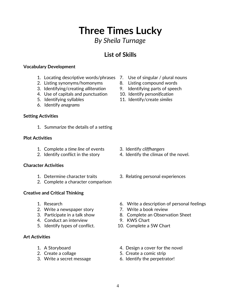### 4

# **Three Times Lucky**

### *By Sheila Turnage*

### **List of Skills**

#### **Vocabulary Development**

- 1. Locating descriptive words/phrases 7. Use of singular / plural nouns
- 2. Listing synonyms/homonyms and B. Listing compound words
- 3. Identifying/creating *alliteration* 9. Identifying parts of speech
- 4. Use of capitals and punctuation 10. Identify *personification*
- 
- 6. Identify *anagrams*

#### **Setting Activities**

1. Summarize the details of a setting

#### **Plot Activities**

- 1. Complete a *time line* of events 3. Identify *cliffhangers*
- 

#### **Character Activities**

- 
- 2. Complete a character comparison

#### **Creative and Critical Thinking**

- 
- 2. Write a newspaper story **7.** Write a book review
- 
- 4. Conduct an interview 9. KWS Chart
- 5. Identify types of conflict. 10. Complete a 5W Chart

#### **Art Activities**

- 
- 
- 
- 
- 
- 
- 
- 5. Identifying syllables 11. Identify/create *similes*

- 
- 2. Identify conflict in the story 4. Identify the climax of the novel.
- 1. Determine character traits 3. Relating personal experiences
- 1. Research 6. Write a description of personal feelings
	-
- 3. Participate in a talk show 8. Complete an Observation Sheet
	-
	-
- 1. A Storyboard **1.** A Storyboard **1.** A Storyboard
- 2. Create a collage 5. Create a comic strip
- 3. Write a secret message 6. Identify the perpetrator!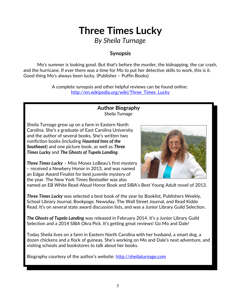### *By Sheila Turnage*

#### **Synopsis**

Mo's summer is looking good. But that's before the murder, the kidnapping, the car crash, and the hurricane. If ever there was a time for Mo to put her detective skills to work, this is it. Good thing Mo's always been lucky. (Publisher – Puffin Books)

> A complete synopsis and other helpful reviews can be found online: [http://en.wikipedia.org/wiki/Three\\_Times\\_Lucky](http://en.wikipedia.org/wiki/Three_Times_Lucky)

#### **Author Biography** *Sheila Turnage*

Sheila Turnage grew up on a farm in Eastern North Carolina. She's a graduate of East Carolina University and the author of several books. She's written two nonfiction books (including *Haunted Inns of the Southeast*) and one picture book, as well as *Three Times Lucky* and *The Ghosts of Tupelo Landing*.



*Three Times Lucky* – Miss Moses LoBeau's first mystery – received a Newbery Honor in 2013, and was named an Edgar Award Finalist for best juvenile mystery of the year. The New York Times Bestseller was also

named an EB White Read-Aloud Honor Book and SIBA's Best Young Adult novel of 2013.

*Three Times Lucky* was selected a best book of the year by Booklist, Publishers Weekly, School Library Journal, Bookpage, Newsday, The Wall Street Journal, and Read Kiddo Read. It's on several state award discussion lists, and was a Junior Library Guild Selection.

*The Ghosts of Tupelo Landing* was released in February 2014. It's a Junior Library Guild Selection and a 2014 SIBA Okra Pick. It's getting great reviews! Go Mo and Dale!

Today Sheila lives on a farm in Eastern North Carolina with her husband, a smart dog, a dozen chickens and a flock of guineas. She's working on Mo and Dale's next adventure, and visiting schools and bookstores to talk about her books.

Biography courtesy of the author's website: [http://sheilaturnage.com](http://sheilaturnage.com/)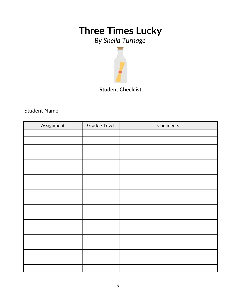# *By Sheila Turnage*



Student Name

| Assignment | Grade / Level | Comments |
|------------|---------------|----------|
|            |               |          |
|            |               |          |
|            |               |          |
|            |               |          |
|            |               |          |
|            |               |          |
|            |               |          |
|            |               |          |
|            |               |          |
|            |               |          |
|            |               |          |
|            |               |          |
|            |               |          |
|            |               |          |
|            |               |          |
|            |               |          |
|            |               |          |
|            |               |          |
|            |               |          |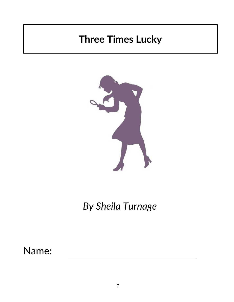

*By Sheila Turnage*

Name: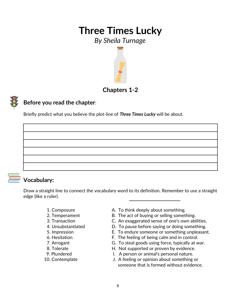### *By Sheila Turnage*



#### **Before you read the chapter**:

Briefly predict what you believe the plot-line of *Three Times Lucky* will be about.



### **Vocabulary:**

Draw a straight line to connect the vocabulary word to its definition. Remember to use a straight edge (like a ruler).

- 
- 
- 
- 
- 
- 
- 
- 
- 
- 
- 1. Composure **A. To think deeply about something.**
- 2. Temperament B. The act of buying or selling something.
- 3. Transaction C. An exaggerated sense of one's own abilities.
- 4. Unsubstantiated D. To pause before saying or doing something.
- 5. Impression E. To endure someone or something unpleasant.
- 6. Hesitation F. The feeling of being calm and in control.
- 7. Arrogant G. To steal goods using force, typically at war.
- 8. Tolerate **EXECUTE:** H. Not supported or proven by evidence.
- 9. Plundered **I.** A person or animal's personal nature.
- 10. Contemplate J. A feeling or opinion about something or someone that is formed without evidence.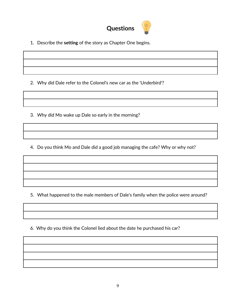

1. Describe the **setting** of the story as Chapter One begins.

2. Why did Dale refer to the Colonel's new car as the 'Underbird'?

3. Why did Mo wake up Dale so early in the morning?

4. Do you think Mo and Dale did a good job managing the cafe? Why or why not?

5. What happened to the male members of Dale's family when the police were around?

6. Why do you think the Colonel lied about the date he purchased his car?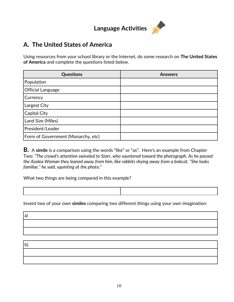## **Language Activities**

#### **A. The United States of America**

Using resources from your school library or the Internet, do some research on **The United States of America** and complete the questions listed below.

| Questions                          | <b>Answers</b> |
|------------------------------------|----------------|
| Population                         |                |
| <b>Official Language</b>           |                |
| Currency                           |                |
| Largest City                       |                |
| Capital City                       |                |
| Land Size (Miles)                  |                |
| President/Leader                   |                |
| Form of Government (Monarchy, etc) |                |

**B.** A **simile** is a comparison using the words "like" or "as". Here's an example from Chapter Two: *"The crowd's attention swiveled to Starr, who sauntered toward the photograph. As he passed the Azalea Woman they leaned away from him, like rabbits shying away from a bobcat. "She looks familiar," he said, squinting at the photo."*

What two things are being compared in this example?

a)

Invent two of your own **similes** comparing two different things using your own imagination:

b)